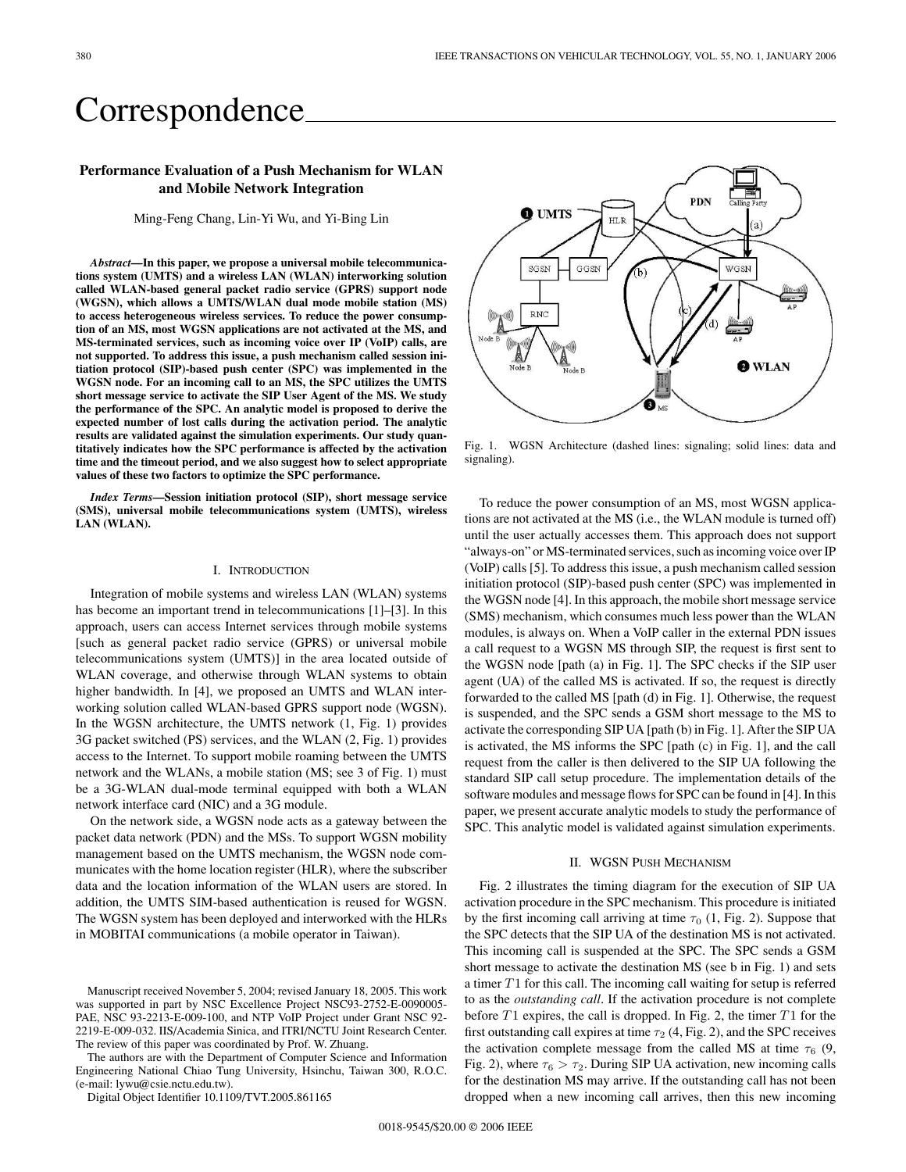# Correspondence

# **Performance Evaluation of a Push Mechanism for WLAN and Mobile Network Integration**

Ming-Feng Chang, Lin-Yi Wu, and Yi-Bing Lin

*Abstract***—In this paper, we propose a universal mobile telecommunications system (UMTS) and a wireless LAN (WLAN) interworking solution called WLAN-based general packet radio service (GPRS) support node (WGSN), which allows a UMTS/WLAN dual mode mobile station (MS) to access heterogeneous wireless services. To reduce the power consumption of an MS, most WGSN applications are not activated at the MS, and MS-terminated services, such as incoming voice over IP (VoIP) calls, are not supported. To address this issue, a push mechanism called session initiation protocol (SIP)-based push center (SPC) was implemented in the WGSN node. For an incoming call to an MS, the SPC utilizes the UMTS short message service to activate the SIP User Agent of the MS. We study the performance of the SPC. An analytic model is proposed to derive the expected number of lost calls during the activation period. The analytic results are validated against the simulation experiments. Our study quantitatively indicates how the SPC performance is affected by the activation time and the timeout period, and we also suggest how to select appropriate values of these two factors to optimize the SPC performance.**

*Index Terms***—Session initiation protocol (SIP), short message service (SMS), universal mobile telecommunications system (UMTS), wireless LAN (WLAN).**

## I. INTRODUCTION

Integration of mobile systems andwireless LAN (WLAN) systems has become an important trend in telecommunications [1]–[3]. In this approach, users can access Internet services through mobile systems [such as general packet radio service (GPRS) or universal mobile telecommunications system (UMTS)] in the area located outside of WLAN coverage, and otherwise through WLAN systems to obtain higher bandwidth. In [4], we proposed an UMTS and WLAN interworking solution called WLAN-based GPRS support node (WGSN). In the WGSN architecture, the UMTS network (1, Fig. 1) provides 3G packet switched (PS) services, and the WLAN (2, Fig. 1) provides access to the Internet. To support mobile roaming between the UMTS network and the WLANs, a mobile station (MS; see 3 of Fig. 1) must be a 3G-WLAN dual-mode terminal equipped with both a WLAN network interface card (NIC) and a 3G module.

On the network side, a WGSN node acts as a gateway between the packet data network (PDN) and the MSs. To support WGSN mobility management based on the UMTS mechanism, the WGSN node communicates with the home location register (HLR), where the subscriber data and the location information of the WLAN users are stored. In addition, the UMTS SIM-based authentication is reused for WGSN. The WGSN system has been deployed and interworked with the HLRs in MOBITAI communications (a mobile operator in Taiwan).

The authors are with the Department of Computer Science and Information Engineering National Chiao Tung University, Hsinchu, Taiwan 300, R.O.C. (e-mail: lywu@csie.nctu.edu.tw).

Digital Object Identifier 10.1109/TVT.2005.861165



Fig. 1. WGSN Architecture (dashed lines: signaling; solid lines: data and signaling).

To reduce the power consumption of an MS, most WGSN applications are not activated at the MS (i.e., the WLAN module is turned off) until the user actually accesses them. This approach does not support "always-on" or MS-terminated services, such as incoming voice over IP (VoIP) calls [5]. To address this issue, a push mechanism called session initiation protocol (SIP)-based push center (SPC) was implemented in the WGSN node [4]. In this approach, the mobile short message service (SMS) mechanism, which consumes much less power than the WLAN modules, is always on. When a VoIP caller in the external PDN issues a call request to a WGSN MS through SIP, the request is first sent to the WGSN node [path (a) in Fig. 1]. The SPC checks if the SIP user agent (UA) of the called MS is activated. If so, the request is directly forwarded to the called MS [path (d) in Fig. 1]. Otherwise, the request is suspended, and the SPC sends a GSM short message to the MS to activate the corresponding SIP UA [path (b) in Fig. 1]. After the SIP UA is activated, the MS informs the SPC [path (c) in Fig. 1], and the call request from the caller is then delivered to the SIP UA following the standard SIP call setup procedure. The implementation details of the software modules and message flows for SPC can be found in [4]. In this paper, we present accurate analytic models to study the performance of SPC. This analytic model is validated against simulation experiments.

## II. WGSN PUSH MECHANISM

Fig. 2 illustrates the timing diagram for the execution of SIP UA activation procedure in the SPC mechanism. This procedure is initiated by the first incoming call arriving at time  $\tau_0$  (1, Fig. 2). Suppose that the SPC detects that the SIP UA of the destination MS is not activated. This incoming call is suspended at the SPC. The SPC sends a GSM short message to activate the destination MS (see b in Fig. 1) and sets a timer *T* 1 for this call. The incoming call waiting for setup is referred to as the *outstanding call*. If the activation procedure is not complete before *T* 1 expires, the call is dropped. In Fig. 2, the timer *T* 1 for the first outstanding call expires at time  $\tau_2$  (4, Fig. 2), and the SPC receives the activation complete message from the called MS at time  $\tau_6$  (9, Fig. 2), where  $\tau_6 > \tau_2$ . During SIP UA activation, new incoming calls for the destination MS may arrive. If the outstanding call has not been dropped when a new incoming call arrives, then this new incoming

Manuscript received November 5, 2004; revised January 18, 2005. This work was supported in part by NSC Excellence Project NSC93-2752-E-0090005-PAE, NSC 93-2213-E-009-100, and NTP VoIP Project under Grant NSC 92-2219-E-009-032. IIS/Academia Sinica, and ITRI/NCTU Joint Research Center. The review of this paper was coordinated by Prof. W. Zhuang.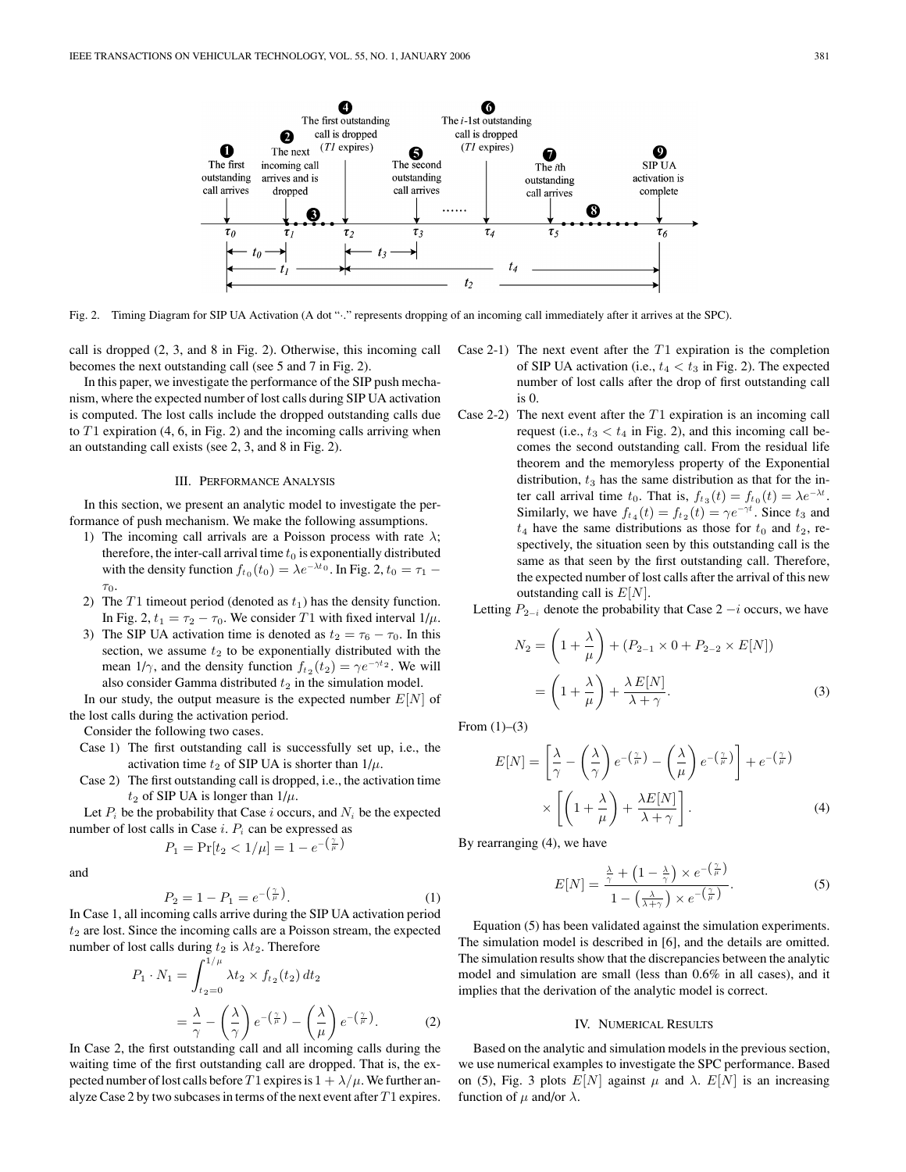

Fig. 2. Timing Diagram for SIP UA Activation (A dot "·." represents dropping of an incoming call immediately after it arrives at the SPC).

call is dropped  $(2, 3, \text{ and } 8 \text{ in Fig. 2})$ . Otherwise, this incoming call becomes the next outstanding call (see 5 and 7 in Fig. 2).

In this paper, we investigate the performance of the SIP push mechanism, where the expectednumber of lost calls during SIP UA activation is computed. The lost calls include the dropped outstanding calls due to  $T1$  expiration (4, 6, in Fig. 2) and the incoming calls arriving when an outstanding call exists (see 2, 3, and 8 in Fig. 2).

# III. PERFORMANCE ANALYSIS

In this section, we present an analytic model to investigate the performance of push mechanism. We make the following assumptions.

- 1) The incoming call arrivals are a Poisson process with rate *λ*; therefore, the inter-call arrival time  $t_0$  is exponentially distributed with the density function  $f_{t_0}(t_0) = \lambda e^{-\lambda t_0}$ . In Fig. 2,  $t_0 = \tau_1$  – *τ*0.
- 2) The  $T1$  timeout period (denoted as  $t_1$ ) has the density function. In Fig. 2,  $t_1 = \tau_2 - \tau_0$ . We consider *T* 1 with fixed interval  $1/\mu$ .
- 3) The SIP UA activation time is denoted as  $t_2 = \tau_6 \tau_0$ . In this section, we assume  $t_2$  to be exponentially distributed with the mean  $1/\gamma$ , and the density function  $f_{t_2}(t_2) = \gamma e^{-\gamma t_2}$ . We will also consider Gamma distributed  $t_2$  in the simulation model.

In our study, the output measure is the expected number *E*[*N*] of the lost calls during the activation period.

Consider the following two cases.

- Case 1) The first outstanding call is successfully set up, i.e., the activation time  $t_2$  of SIP UA is shorter than  $1/\mu$ .
- Case 2) The first outstanding call is dropped, i.e., the activation time  $t_2$  of SIP UA is longer than  $1/\mu$ .

Let  $P_i$  be the probability that Case  $i$  occurs, and  $N_i$  be the expected number of lost calls in Case *i*. *Pi* can be expressedas

$$
P_1 = \Pr[t_2 < 1/\mu] = 1 - e^{-\left(\frac{\gamma}{\mu}\right)}
$$

and

$$
P_2 = 1 - P_1 = e^{-\left(\frac{\gamma}{\mu}\right)}.
$$
 (1)

In Case 1, all incoming calls arrive during the SIP UA activation period  $t_2$  are lost. Since the incoming calls are a Poisson stream, the expected number of lost calls during  $t_2$  is  $\lambda t_2$ . Therefore

$$
P_1 \cdot N_1 = \int_{t_2=0}^{1/\mu} \lambda t_2 \times f_{t_2}(t_2) dt_2
$$
  
=  $\frac{\lambda}{\gamma} - \left(\frac{\lambda}{\gamma}\right) e^{-\left(\frac{\gamma}{\mu}\right)} - \left(\frac{\lambda}{\mu}\right) e^{-\left(\frac{\gamma}{\mu}\right)}.$  (2)

In Case 2, the first outstanding call and all incoming calls during the waiting time of the first outstanding call are dropped. That is, the expected number of lost calls before *T* 1 expires is  $1 + \lambda/\mu$ . We further analyze Case 2 by two subcases in terms of the next event after *T* 1 expires.

- Case 2-1) The next event after the  $T1$  expiration is the completion of SIP UA activation (i.e.,  $t_4 < t_3$  in Fig. 2). The expected number of lost calls after the drop of first outstanding call is 0.
- Case 2-2) The next event after the  $T1$  expiration is an incoming call request (i.e.,  $t_3 < t_4$  in Fig. 2), and this incoming call becomes the second outstanding call. From the residual life theorem and the memoryless property of the Exponential distribution,  $t_3$  has the same distribution as that for the inter call arrival time  $t_0$ . That is,  $f_{t_3}(t) = f_{t_0}(t) = \lambda e^{-\lambda t}$ . Similarly, we have  $f_{t_4}(t) = f_{t_2}(t) = \gamma e^{-\gamma t}$ . Since  $t_3$  and  $t_4$  have the same distributions as those for  $t_0$  and  $t_2$ , respectively, the situation seen by this outstanding call is the same as that seen by the first outstanding call. Therefore, the expected number of lost calls after the arrival of this new outstanding call is *E*[*N*].

Letting  $P_{2-i}$  denote the probability that Case 2  $-i$  occurs, we have

$$
N_2 = \left(1 + \frac{\lambda}{\mu}\right) + (P_{2-1} \times 0 + P_{2-2} \times E[N])
$$

$$
= \left(1 + \frac{\lambda}{\mu}\right) + \frac{\lambda E[N]}{\lambda + \gamma}.
$$
(3)

From  $(1)$ – $(3)$ 

$$
E[N] = \left[\frac{\lambda}{\gamma} - \left(\frac{\lambda}{\gamma}\right)e^{-\left(\frac{\gamma}{\mu}\right)} - \left(\frac{\lambda}{\mu}\right)e^{-\left(\frac{\gamma}{\mu}\right)}\right] + e^{-\left(\frac{\gamma}{\mu}\right)}
$$

$$
\times \left[\left(1 + \frac{\lambda}{\mu}\right) + \frac{\lambda E[N]}{\lambda + \gamma}\right].
$$
 (4)

By rearranging (4), we have

$$
E[N] = \frac{\frac{\lambda}{\gamma} + \left(1 - \frac{\lambda}{\gamma}\right) \times e^{-\left(\frac{\gamma}{\mu}\right)}}{1 - \left(\frac{\lambda}{\lambda + \gamma}\right) \times e^{-\left(\frac{\gamma}{\mu}\right)}}.
$$
 (5)

Equation (5) has been validated against the simulation experiments. The simulation model is described in [6], and the details are omitted. The simulation results show that the discrepancies between the analytic model and simulation are small (less than 0.6% in all cases), and it implies that the derivation of the analytic model is correct.

#### IV. NUMERICAL RESULTS

Based on the analytic and simulation models in the previous section, we use numerical examples to investigate the SPC performance. Based on (5), Fig. 3 plots  $E[N]$  against  $\mu$  and  $\lambda$ .  $E[N]$  is an increasing function of  $\mu$  and/or  $\lambda$ .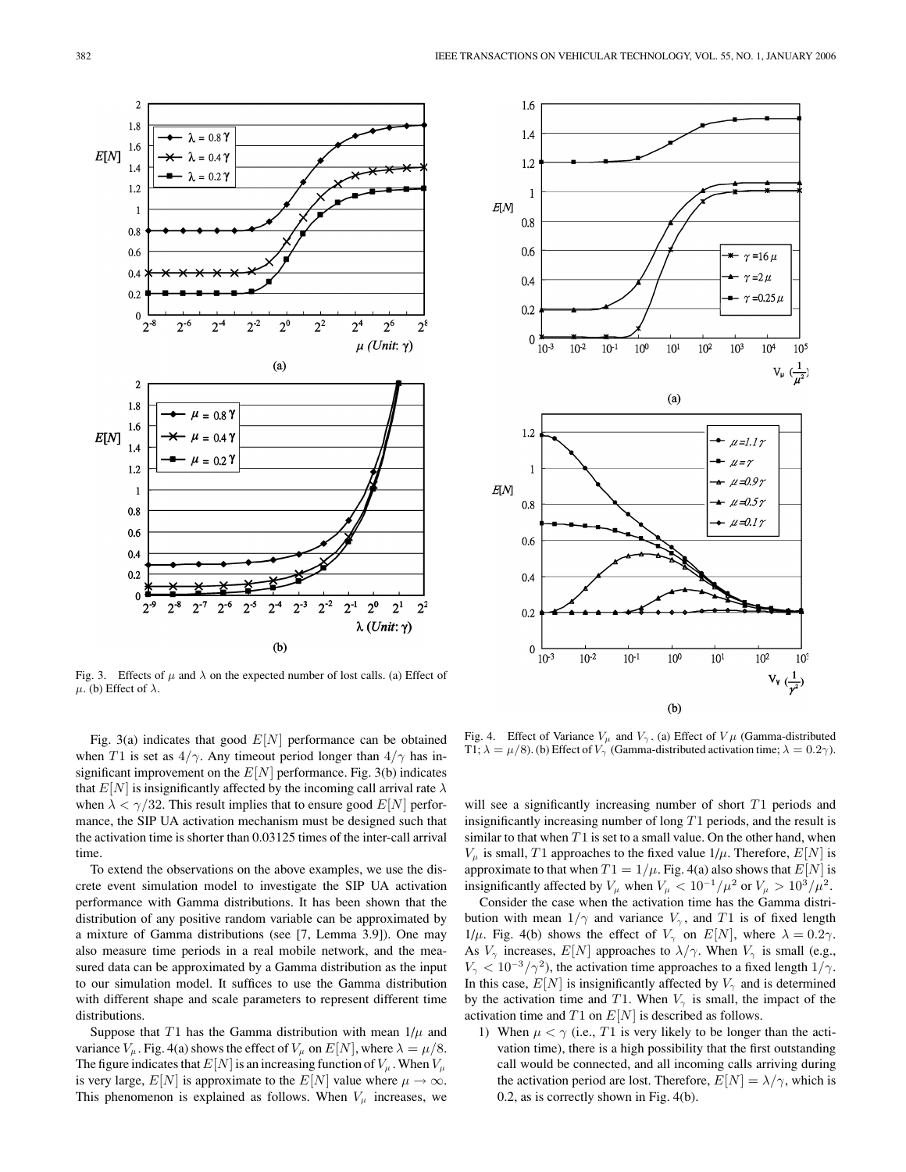

Fig. 3. Effects of  $\mu$  and  $\lambda$  on the expected number of lost calls. (a) Effect of *μ*. (b) Effect of  $λ$ .

Fig. 3(a) indicates that good *E*[*N*] performance can be obtained when *T* 1 is set as  $4/\gamma$ . Any timeout period longer than  $4/\gamma$  has insignificant improvement on the  $E[N]$  performance. Fig. 3(b) indicates that  $E[N]$  is insignificantly affected by the incoming call arrival rate  $\lambda$ when  $\lambda < \gamma/32$ . This result implies that to ensure good  $E[N]$  performance, the SIP UA activation mechanism must be designed such that the activation time is shorter than 0.03125 times of the inter-call arrival time.

To extend the observations on the above examples, we use the discrete event simulation model to investigate the SIP UA activation performance with Gamma distributions. It has been shown that the distribution of any positive random variable can be approximated by a mixture of Gamma distributions (see [7, Lemma 3.9]). One may also measure time periods in a real mobile network, and the measured data can be approximated by a Gamma distribution as the input to our simulation model. It suffices to use the Gamma distribution with different shape and scale parameters to represent different time distributions.

Suppose that  $T1$  has the Gamma distribution with mean  $1/\mu$  and variance  $V_\mu$ . Fig. 4(a) shows the effect of  $V_\mu$  on  $E[N]$ , where  $\lambda = \mu/8$ . The figure indicates that  $E[N]$  is an increasing function of  $V_\mu$ . When  $V_\mu$ is very large,  $E[N]$  is approximate to the  $E[N]$  value where  $\mu \to \infty$ . This phenomenon is explained as follows. When  $V_\mu$  increases, we



Fig. 4. Effect of Variance  $V_\mu$  and  $V_\gamma$ . (a) Effect of  $V\mu$  (Gamma-distributed T1;  $\lambda = \mu/8$ ). (b) Effect of  $V_{\gamma}$  (Gamma-distributed activation time;  $\lambda = 0.2\gamma$ ).

will see a significantly increasing number of short  $T1$  periods and insignificantly increasing number of long *T*1 periods, and the result is similar to that when *T* 1 is set to a small value. On the other hand, when  $V_{\mu}$  is small, *T* 1 approaches to the fixed value  $1/\mu$ . Therefore,  $E[N]$  is approximate to that when  $T1 = 1/\mu$ . Fig. 4(a) also shows that  $E[N]$  is insignificantly affected by  $V_\mu$  when  $V_\mu < 10^{-1}/\mu^2$  or  $V_\mu > 10^3/\mu^2$ .

Consider the case when the activation time has the Gamma distribution with mean  $1/\gamma$  and variance  $V_\gamma$ , and *T*1 is of fixed length 1/ $\mu$ . Fig. 4(b) shows the effect of  $V_{\gamma}$  on  $E[N]$ , where  $\lambda = 0.2\gamma$ . As  $V_{\gamma}$  increases,  $E[N]$  approaches to  $\lambda/\gamma$ . When  $V_{\gamma}$  is small (e.g.,  $V_{\gamma}$  < 10<sup>-3</sup>/ $\gamma$ <sup>2</sup>), the activation time approaches to a fixed length 1/ $\gamma$ . In this case,  $E[N]$  is insignificantly affected by  $V_{\gamma}$  and is determined by the activation time and *T* 1. When  $V_{\gamma}$  is small, the impact of the activation time and *T* 1 on *E*[*N*] is described as follows.

1) When  $\mu < \gamma$  (i.e., *T*1 is very likely to be longer than the activation time), there is a high possibility that the first outstanding call would be connected, and all incoming calls arriving during the activation period are lost. Therefore,  $E[N] = \lambda/\gamma$ , which is 0.2, as is correctly shown in Fig. 4(b).